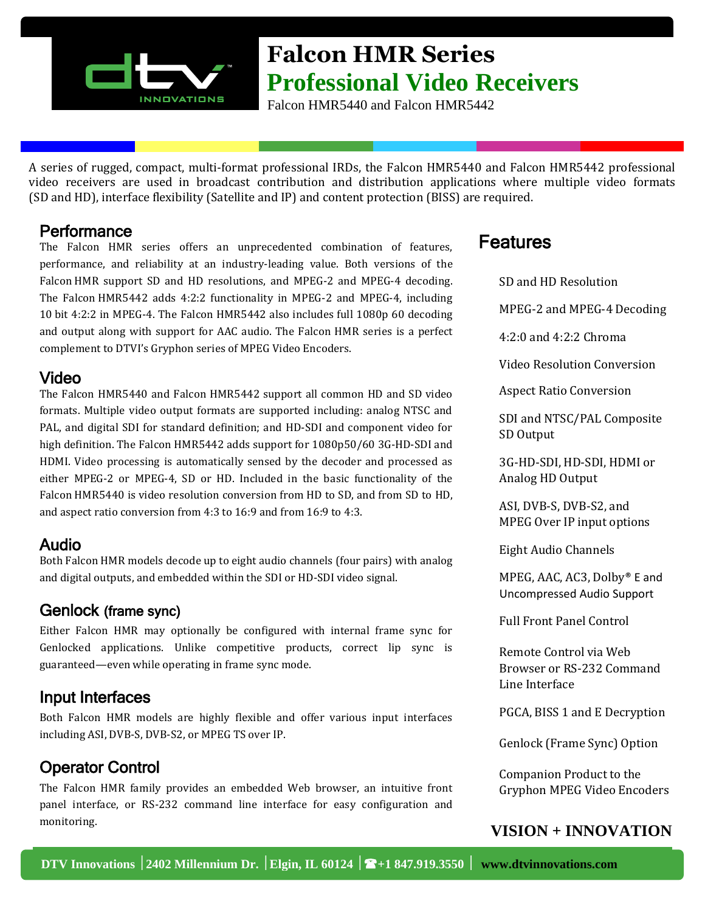

# **Falcon HMR Series Professional Video Receivers**

Falcon HMR5440 and Falcon HMR5442

A series of rugged, compact, multi‐format professional IRDs, the Falcon HMR5440 and Falcon HMR5442 professional video receivers are used in broadcast contribution and distribution applications where multiple video formats (SD and HD), interface flexibility (Satellite and IP) and content protection (BISS) are required.

#### **Performance**

The Falcon HMR series offers an unprecedented combination of features, performance, and reliability at an industry-leading value. Both versions of the Falcon HMR support SD and HD resolutions, and MPEG-2 and MPEG-4 decoding. The Falcon HMR5442 adds 4:2:2 functionality in MPEG‐2 and MPEG‐4, including 10 bit 4:2:2 in MPEG‐4. The Falcon HMR5442 also includes full 1080p 60 decoding and output along with support for AAC audio. The Falcon HMR series is a perfect complement to DTVI's Gryphon series of MPEG Video Encoders.

#### Video

The Falcon HMR5440 and Falcon HMR5442 support all common HD and SD video formats. Multiple video output formats are supported including: analog NTSC and PAL, and digital SDI for standard definition; and HD‐SDI and component video for high definition. The Falcon HMR5442 adds support for 1080p50/60 3G‐HD‐SDI and HDMI. Video processing is automatically sensed by the decoder and processed as either MPEG‐2 or MPEG‐4, SD or HD. Included in the basic functionality of the Falcon HMR5440 is video resolution conversion from HD to SD, and from SD to HD, and aspect ratio conversion from 4:3 to 16:9 and from 16:9 to 4:3.

### Audio

Both Falcon HMR models decode up to eight audio channels (four pairs) with analog and digital outputs, and embedded within the SDI or HD‐SDI video signal.

### Genlock (frame sync)

Either Falcon HMR may optionally be configured with internal frame sync for Genlocked applications. Unlike competitive products, correct lip sync is guaranteed—even while operating in frame sync mode.

### Input Interfaces

Both Falcon HMR models are highly flexible and offer various input interfaces including ASI, DVB‐S, DVB‐S2, or MPEG TS over IP.

### Operator Control

The Falcon HMR family provides an embedded Web browser, an intuitive front panel interface, or RS‐232 command line interface for easy configuration and monitoring.

## Features

SD and HD Resolution

MPEG-2 and MPEG-4 Decoding

4:2:0 and 4:2:2 Chroma

Video Resolution Conversion

Aspect Ratio Conversion

 SDI and NTSC/PAL Composite SD Output

 3G-HD-SDI, HD-SDI, HDMI or Analog HD Output

 ASI, DVB-S, DVB-S2, and MPEG Over IP input options

Eight Audio Channels

 MPEG, AAC, AC3, Dolby® E and Uncompressed Audio Support

Full Front Panel Control

 Remote Control via Web Browser or RS-232 Command Line Interface

PGCA, BISS 1 and E Decryption

Genlock (Frame Sync) Option

 Companion Product to the Gryphon MPEG Video Encoders

### **VISION + INNOVATION**